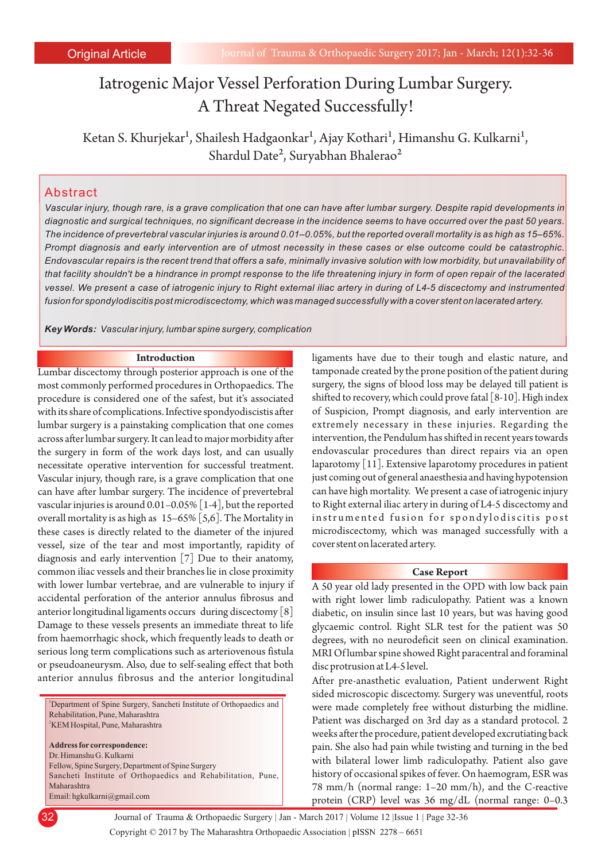# Iatrogenic Major Vessel Perforation During Lumbar Surgery. A Threat Negated Successfully!

Ketan S. Khurjekar<sup>1</sup>, Shailesh Hadgaonkar<sup>1</sup>, Ajay Kothari<sup>1</sup>, Himanshu G. Kulkarni<sup>1</sup>, Shardul Date<sup>2</sup>, Suryabhan Bhalerao<sup>2</sup>

# Abstract

*Vascular injury, though rare, is a grave complication that one can have after lumbar surgery. Despite rapid developments in diagnostic and surgical techniques, no significant decrease in the incidence seems to have occurred over the past 50 years. The incidence of prevertebral vascular injuries is around 0.01–0.05%, but the reported overall mortality is as high as 15–65%. Prompt diagnosis and early intervention are of utmost necessity in these cases or else outcome could be catastrophic. Endovascular repairs is the recent trend that offers a safe, minimally invasive solution with low morbidity, but unavailability of that facility shouldn't be a hindrance in prompt response to the life threatening injury in form of open repair of the lacerated vessel. We present a case of iatrogenic injury to Right external iliac artery in during of L4-5 discectomy and instrumented fusion for spondylodiscitis post microdiscectomy, which was managed successfully with a cover stent on lacerated artery.* 

*Key Words: Vascular injury, lumbar spine surgery, complication*

#### **Introduction**

Lumbar discectomy through posterior approach is one of the most commonly performed procedures in Orthopaedics. The procedure is considered one of the safest, but it's associated with its share of complications. Infective spondyodiscistis after lumbar surgery is a painstaking complication that one comes across after lumbar surgery. It can lead to major morbidity after the surgery in form of the work days lost, and can usually necessitate operative intervention for successful treatment. Vascular injury, though rare, is a grave complication that one can have after lumbar surgery. The incidence of prevertebral vascular injuries is around 0.01–0.05% [1-4], but the reported overall mortality is as high as 15–65% [5,6]. The Mortality in these cases is directly related to the diameter of the injured vessel, size of the tear and most importantly, rapidity of diagnosis and early intervention [7] Due to their anatomy, common iliac vessels and their branches lie in close proximity with lower lumbar vertebrae, and are vulnerable to injury if accidental perforation of the anterior annulus fibrosus and anterior longitudinal ligaments occurs during discectomy [8] Damage to these vessels presents an immediate threat to life from haemorrhagic shock, which frequently leads to death or serious long term complications such as arteriovenous fistula or pseudoaneurysm. Also, due to self-sealing effect that both anterior annulus fibrosus and the anterior longitudinal

<sup>1</sup>Department of Spine Surgery, Sancheti Institute of Orthopaedics and Rehabilitation, Pune, Maharashtra <sup>2</sup>KEM Hospital, Pune, Maharashtra **Address for correspondence:**  Dr. Himanshu G. Kulkarni Fellow, Spine Surgery, Department of Spine Surgery Sancheti Institute of Orthopaedics and Rehabilitation, Pune,

Maharashtra Email: hgkulkarni@gmail.com ligaments have due to their tough and elastic nature, and tamponade created by the prone position of the patient during surgery, the signs of blood loss may be delayed till patient is shifted to recovery, which could prove fatal [8-10]. High index of Suspicion, Prompt diagnosis, and early intervention are extremely necessary in these injuries. Regarding the intervention, the Pendulum has shifted in recent years towards endovascular procedures than direct repairs via an open laparotomy [11]. Extensive laparotomy procedures in patient just coming out of general anaesthesia and having hypotension can have high mortality. We present a case of iatrogenic injury to Right external iliac artery in during of L4-5 discectomy and instrumented fusion for spondylodiscitis post microdiscectomy, which was managed successfully with a cover stent on lacerated artery.

#### **Case Report**

A 50 year old lady presented in the OPD with low back pain with right lower limb radiculopathy. Patient was a known diabetic, on insulin since last 10 years, but was having good glycaemic control. Right SLR test for the patient was 50 degrees, with no neurodeficit seen on clinical examination. MRI Of lumbar spine showed Right paracentral and foraminal disc protrusion at L4-5 level.

After pre-anasthetic evaluation, Patient underwent Right sided microscopic discectomy. Surgery was uneventful, roots were made completely free without disturbing the midline. Patient was discharged on 3rd day as a standard protocol. 2 weeks after the procedure, patient developed excrutiating back pain. She also had pain while twisting and turning in the bed with bilateral lower limb radiculopathy. Patient also gave history of occasional spikes of fever. On haemogram, ESR was 78 mm/h (normal range: 1–20 mm/h), and the C-reactive protein (CRP) level was 36 mg/dL (normal range: 0–0.3

Copyright © 2017 by The Maharashtra Orthopaedic Association | 32 Journal of Trauma & Orthopaedic Surgery | Jan - March 2017 | Volume 12 |Issue 1 | Page 32-36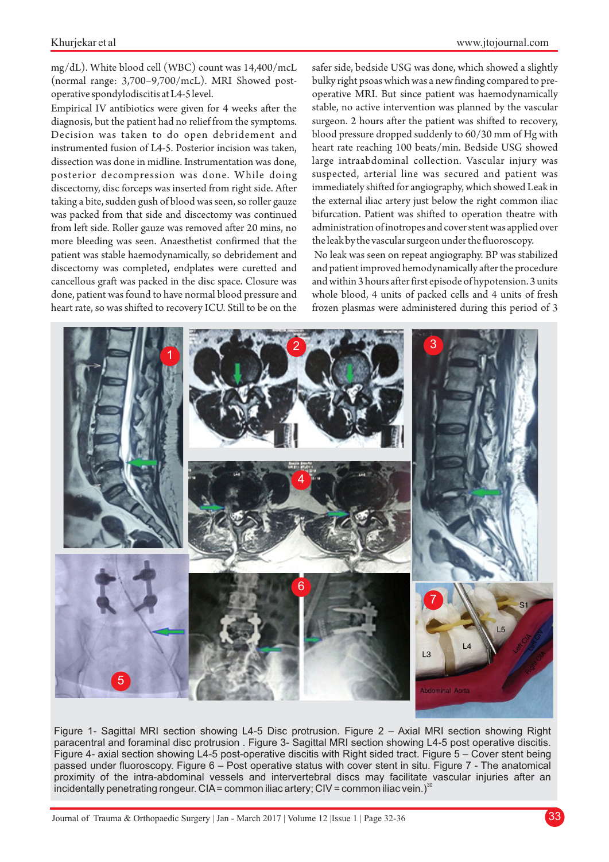## Khurjekar et al

mg/dL). White blood cell (WBC) count was 14,400/mcL (normal range: 3,700–9,700/mcL). MRI Showed postoperative spondylodiscitis at L4-5 level.

Empirical IV antibiotics were given for 4 weeks after the diagnosis, but the patient had no relief from the symptoms. Decision was taken to do open debridement and instrumented fusion of L4-5. Posterior incision was taken, dissection was done in midline. Instrumentation was done, posterior decompression was done. While doing discectomy, disc forceps was inserted from right side. After taking a bite, sudden gush of blood was seen, so roller gauze was packed from that side and discectomy was continued from left side. Roller gauze was removed after 20 mins, no more bleeding was seen. Anaesthetist confirmed that the patient was stable haemodynamically, so debridement and discectomy was completed, endplates were curetted and cancellous graft was packed in the disc space. Closure was done, patient was found to have normal blood pressure and heart rate, so was shifted to recovery ICU. Still to be on the

safer side, bedside USG was done, which showed a slightly bulky right psoas which was a new finding compared to preoperative MRI. But since patient was haemodynamically stable, no active intervention was planned by the vascular surgeon. 2 hours after the patient was shifted to recovery, blood pressure dropped suddenly to 60/30 mm of Hg with heart rate reaching 100 beats/min. Bedside USG showed large intraabdominal collection. Vascular injury was suspected, arterial line was secured and patient was immediately shifted for angiography, which showed Leak in the external iliac artery just below the right common iliac bifurcation. Patient was shifted to operation theatre with administration of inotropes and cover stent was applied over the leak by the vascular surgeon under the fluoroscopy.

No leak was seen on repeat angiography. BP was stabilized and patient improved hemodynamically after the procedure and within 3 hours after first episode of hypotension. 3 units whole blood, 4 units of packed cells and 4 units of fresh frozen plasmas were administered during this period of 3



Figure 1- Sagittal MRI section showing L4-5 Disc protrusion. Figure 2 – Axial MRI section showing Right paracentral and foraminal disc protrusion . Figure 3- Sagittal MRI section showing L4-5 post operative discitis. Figure 4- axial section showing L4-5 post-operative discitis with Right sided tract. Figure 5 – Cover stent being passed under fluoroscopy. Figure 6 – Post operative status with cover stent in situ. Figure 7 - The anatomical proximity of the intra-abdominal vessels and intervertebral discs may facilitate vascular injuries after an incidentally penetrating rongeur. CIA = common iliac artery; CIV = common iliac vein.)<sup>30</sup>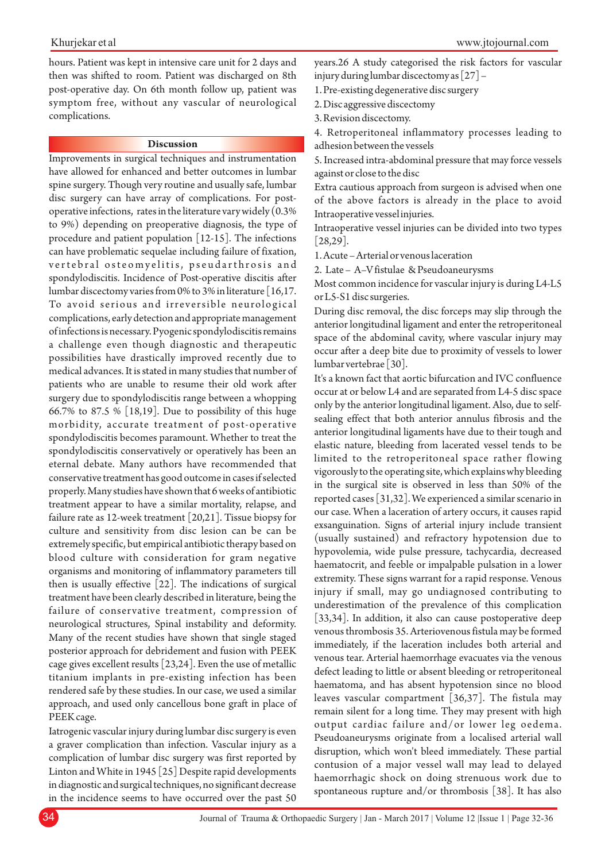hours. Patient was kept in intensive care unit for 2 days and then was shifted to room. Patient was discharged on 8th post-operative day. On 6th month follow up, patient was symptom free, without any vascular of neurological complications.

# **Discussion**

Improvements in surgical techniques and instrumentation have allowed for enhanced and better outcomes in lumbar spine surgery. Though very routine and usually safe, lumbar disc surgery can have array of complications. For postoperative infections, rates in the literature vary widely (0.3% to 9%) depending on preoperative diagnosis, the type of procedure and patient population [12-15]. The infections can have problematic sequelae including failure of fixation, vertebral osteomyelitis, pseudarthrosis and spondylodiscitis. Incidence of Post-operative discitis after lumbar discectomy varies from 0% to 3% in literature [16,17. To avoid serious and irreversible neurological complications, early detection and appropriate management of infections is necessary. Pyogenic spondylodiscitis remains a challenge even though diagnostic and therapeutic possibilities have drastically improved recently due to medical advances. It is stated in many studies that number of patients who are unable to resume their old work after surgery due to spondylodiscitis range between a whopping 66.7% to 87.5 % [18,19]. Due to possibility of this huge morbidity, accurate treatment of post-operative spondylodiscitis becomes paramount. Whether to treat the spondylodiscitis conservatively or operatively has been an eternal debate. Many authors have recommended that conservative treatment has good outcome in cases if selected properly. Many studies have shown that 6 weeks of antibiotic treatment appear to have a similar mortality, relapse, and failure rate as 12-week treatment [20,21]. Tissue biopsy for culture and sensitivity from disc lesion can be can be extremely specific, but empirical antibiotic therapy based on blood culture with consideration for gram negative organisms and monitoring of inflammatory parameters till then is usually effective [22]. The indications of surgical treatment have been clearly described in literature, being the failure of conservative treatment, compression of neurological structures, Spinal instability and deformity. Many of the recent studies have shown that single staged posterior approach for debridement and fusion with PEEK cage gives excellent results [23,24]. Even the use of metallic titanium implants in pre-existing infection has been rendered safe by these studies. In our case, we used a similar approach, and used only cancellous bone graft in place of PEEK cage.

Iatrogenic vascular injury during lumbar disc surgery is even a graver complication than infection. Vascular injury as a complication of lumbar disc surgery was first reported by Linton and White in 1945 [25] Despite rapid developments in diagnostic and surgical techniques, no significant decrease in the incidence seems to have occurred over the past 50 years.26 A study categorised the risk factors for vascular injury during lumbar discectomy as [27] –

1. Pre-existing degenerative disc surgery

2. Disc aggressive discectomy

3. Revision discectomy.

4. Retroperitoneal inflammatory processes leading to adhesion between the vessels

5. Increased intra-abdominal pressure that may force vessels against or close to the disc

Extra cautious approach from surgeon is advised when one of the above factors is already in the place to avoid Intraoperative vessel injuries.

Intraoperative vessel injuries can be divided into two types [28,29].

1. Acute – Arterial or venous laceration

2. Late – A–V fistulae & Pseudoaneurysms

Most common incidence for vascular injury is during L4-L5 or L5-S1 disc surgeries.

During disc removal, the disc forceps may slip through the anterior longitudinal ligament and enter the retroperitoneal space of the abdominal cavity, where vascular injury may occur after a deep bite due to proximity of vessels to lower lumbar vertebrae [30].

It's a known fact that aortic bifurcation and IVC confluence occur at or below L4 and are separated from L4-5 disc space only by the anterior longitudinal ligament. Also, due to selfsealing effect that both anterior annulus fibrosis and the anterior longitudinal ligaments have due to their tough and elastic nature, bleeding from lacerated vessel tends to be limited to the retroperitoneal space rather flowing vigorously to the operating site, which explains why bleeding in the surgical site is observed in less than 50% of the reported cases [31,32]. We experienced a similar scenario in our case. When a laceration of artery occurs, it causes rapid exsanguination. Signs of arterial injury include transient (usually sustained) and refractory hypotension due to hypovolemia, wide pulse pressure, tachycardia, decreased haematocrit, and feeble or impalpable pulsation in a lower extremity. These signs warrant for a rapid response. Venous injury if small, may go undiagnosed contributing to underestimation of the prevalence of this complication [33,34]. In addition, it also can cause postoperative deep venous thrombosis 35. Arteriovenous fistula may be formed immediately, if the laceration includes both arterial and venous tear. Arterial haemorrhage evacuates via the venous defect leading to little or absent bleeding or retroperitoneal haematoma, and has absent hypotension since no blood leaves vascular compartment [36,37]. The fistula may remain silent for a long time. They may present with high output cardiac failure and/or lower leg oedema. Pseudoaneurysms originate from a localised arterial wall disruption, which won't bleed immediately. These partial contusion of a major vessel wall may lead to delayed haemorrhagic shock on doing strenuous work due to spontaneous rupture and/or thrombosis [38]. It has also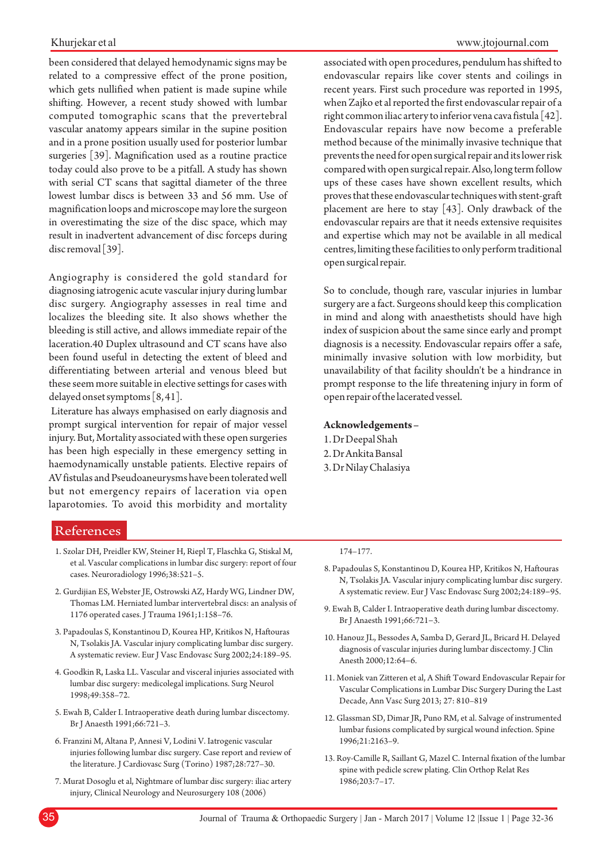### Khurjekar et al

been considered that delayed hemodynamic signs may be related to a compressive effect of the prone position, which gets nullified when patient is made supine while shifting. However, a recent study showed with lumbar computed tomographic scans that the prevertebral vascular anatomy appears similar in the supine position and in a prone position usually used for posterior lumbar surgeries [39]. Magnification used as a routine practice today could also prove to be a pitfall. A study has shown with serial CT scans that sagittal diameter of the three lowest lumbar discs is between 33 and 56 mm. Use of magnification loops and microscope may lore the surgeon in overestimating the size of the disc space, which may result in inadvertent advancement of disc forceps during disc removal [39].

Angiography is considered the gold standard for diagnosing iatrogenic acute vascular injury during lumbar disc surgery. Angiography assesses in real time and localizes the bleeding site. It also shows whether the bleeding is still active, and allows immediate repair of the laceration.40 Duplex ultrasound and CT scans have also been found useful in detecting the extent of bleed and differentiating between arterial and venous bleed but these seem more suitable in elective settings for cases with delayed onset symptoms [8, 41].

Literature has always emphasised on early diagnosis and prompt surgical intervention for repair of major vessel injury. But, Mortality associated with these open surgeries has been high especially in these emergency setting in haemodynamically unstable patients. Elective repairs of AV fistulas and Pseudoaneurysms have been tolerated well but not emergency repairs of laceration via open laparotomies. To avoid this morbidity and mortality

#### www.jtojournal.com

associated with open procedures, pendulum has shifted to endovascular repairs like cover stents and coilings in recent years. First such procedure was reported in 1995, when Zajko et al reported the first endovascular repair of a right common iliac artery to inferior vena cava fistula [42]. Endovascular repairs have now become a preferable method because of the minimally invasive technique that prevents the need for open surgical repair and its lower risk compared with open surgical repair. Also, long term follow ups of these cases have shown excellent results, which proves that these endovascular techniques with stent-graft placement are here to stay [43]. Only drawback of the endovascular repairs are that it needs extensive requisites and expertise which may not be available in all medical centres, limiting these facilities to only perform traditional open surgical repair.

So to conclude, though rare, vascular injuries in lumbar surgery are a fact. Surgeons should keep this complication in mind and along with anaesthetists should have high index of suspicion about the same since early and prompt diagnosis is a necessity. Endovascular repairs offer a safe, minimally invasive solution with low morbidity, but unavailability of that facility shouldn't be a hindrance in prompt response to the life threatening injury in form of open repair of the lacerated vessel.

#### **Acknowledgements –**

1. Dr Deepal Shah 2. Dr Ankita Bansal 3. Dr Nilay Chalasiya

# References

- 1. Szolar DH, Preidler KW, Steiner H, Riepl T, Flaschka G, Stiskal M, et al. Vascular complications in lumbar disc surgery: report of four cases. Neuroradiology 1996;38:521–5.
- 2. Gurdijian ES, Webster JE, Ostrowski AZ, Hardy WG, Lindner DW, Thomas LM. Herniated lumbar intervertebral discs: an analysis of 1176 operated cases. J Trauma 1961;1:158–76.
- 3. Papadoulas S, Konstantinou D, Kourea HP, Kritikos N, Haftouras N, Tsolakis JA. Vascular injury complicating lumbar disc surgery. A systematic review. Eur J Vasc Endovasc Surg 2002;24:189–95.
- 4. Goodkin R, Laska LL. Vascular and visceral injuries associated with lumbar disc surgery: medicolegal implications. Surg Neurol 1998;49:358–72.
- 5. Ewah B, Calder I. Intraoperative death during lumbar discectomy. Br J Anaesth 1991;66:721–3.
- 6. Franzini M, Altana P, Annesi V, Lodini V. Iatrogenic vascular injuries following lumbar disc surgery. Case report and review of the literature. J Cardiovasc Surg (Torino) 1987;28:727–30.
- 7. Murat Dosoglu et al, Nightmare of lumbar disc surgery: iliac artery injury, Clinical Neurology and Neurosurgery 108 (2006)

#### 174–177.

- 8. Papadoulas S, Konstantinou D, Kourea HP, Kritikos N, Haftouras N, Tsolakis JA. Vascular injury complicating lumbar disc surgery. A systematic review. Eur J Vasc Endovasc Surg 2002;24:189−95.
- 9. Ewah B, Calder I. Intraoperative death during lumbar discectomy. Br J Anaesth 1991;66:721−3.
- 10. Hanouz JL, Bessodes A, Samba D, Gerard JL, Bricard H. Delayed diagnosis of vascular injuries during lumbar discectomy. J Clin Anesth 2000;12:64−6.
- 11. Moniek van Zitteren et al, A Shift Toward Endovascular Repair for Vascular Complications in Lumbar Disc Surgery During the Last Decade, Ann Vasc Surg 2013; 27: 810–819
- 12. Glassman SD, Dimar JR, Puno RM, et al. Salvage of instrumented lumbar fusions complicated by surgical wound infection. Spine 1996;21:2163–9.
- 13. Roy-Camille R, Saillant G, Mazel C. Internal fixation of the lumbar spine with pedicle screw plating. Clin Orthop Relat Res 1986;203:7–17.